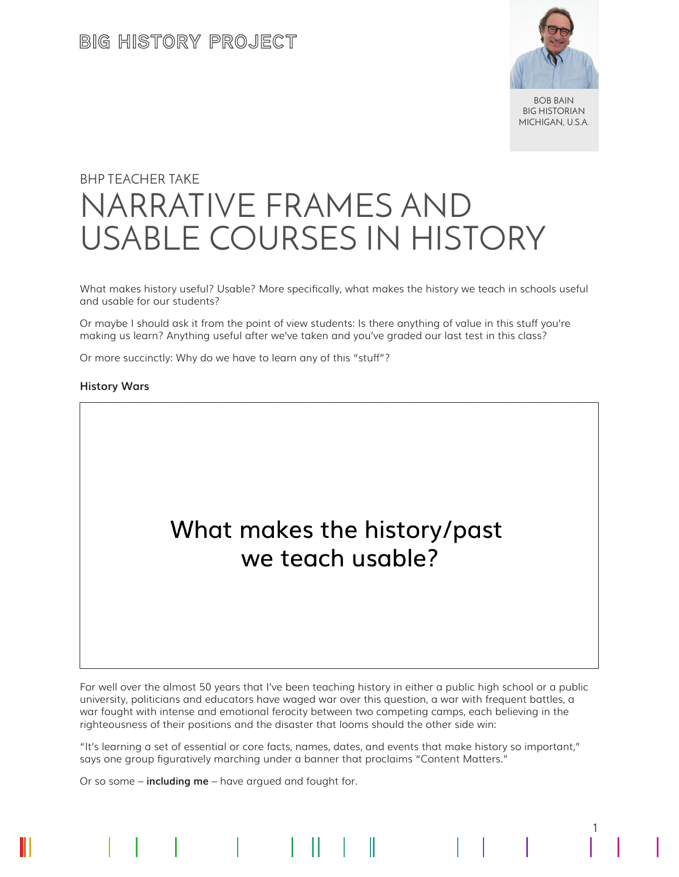

BOB BAIN BIG HISTORIAN MICHIGAN, U.S.A.

1

# BHP TEACHER TAKE NARRATIVE FRAMES AND USABLE COURSES IN HISTORY

What makes history useful? Usable? More specifically, what makes the history we teach in schools useful and usable for our students?

Or maybe I should ask it from the point of view students: Is there anything of value in this stuff you're making us learn? Anything useful after we've taken and you've graded our last test in this class?

Or more succinctly: Why do we have to learn any of this "stuff"?

#### **History Wars**



For well over the almost 50 years that I've been teaching history in either a public high school or a public university, politicians and educators have waged war over this question, a war with frequent battles, a war fought with intense and emotional ferocity between two competing camps, each believing in the righteousness of their positions and the disaster that looms should the other side win:

"It's learning a set of essential or core facts, names, dates, and events that make history so important," says one group figuratively marching under a banner that proclaims "Content Matters."

 $\mathsf{I} \mathsf{I}$ 

Or so some – **including me** – have argued and fought for.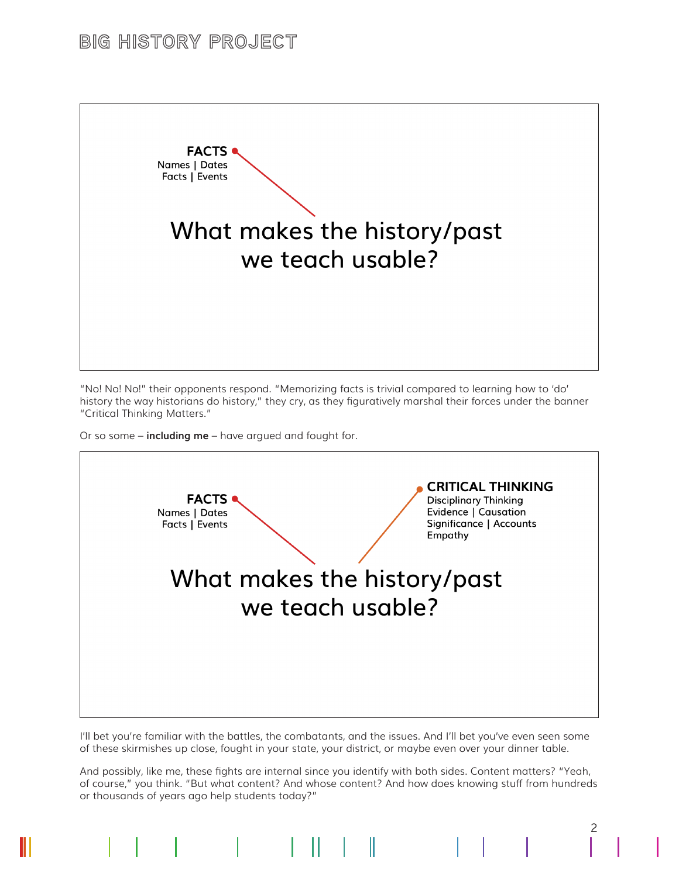### **BIG HISTORY PROJECT**



"No! No! No!" their opponents respond. "Memorizing facts is trivial compared to learning how to 'do' history the way historians do history," they cry, as they figuratively marshal their forces under the banner "Critical Thinking Matters."

Or so some – **including me** – have argued and fought for.



I'll bet you're familiar with the battles, the combatants, and the issues. And I'll bet you've even seen some of these skirmishes up close, fought in your state, your district, or maybe even over your dinner table.

And possibly, like me, these fights are internal since you identify with both sides. Content matters? "Yeah, of course," you think. "But what content? And whose content? And how does knowing stuff from hundreds or thousands of years ago help students today?"

2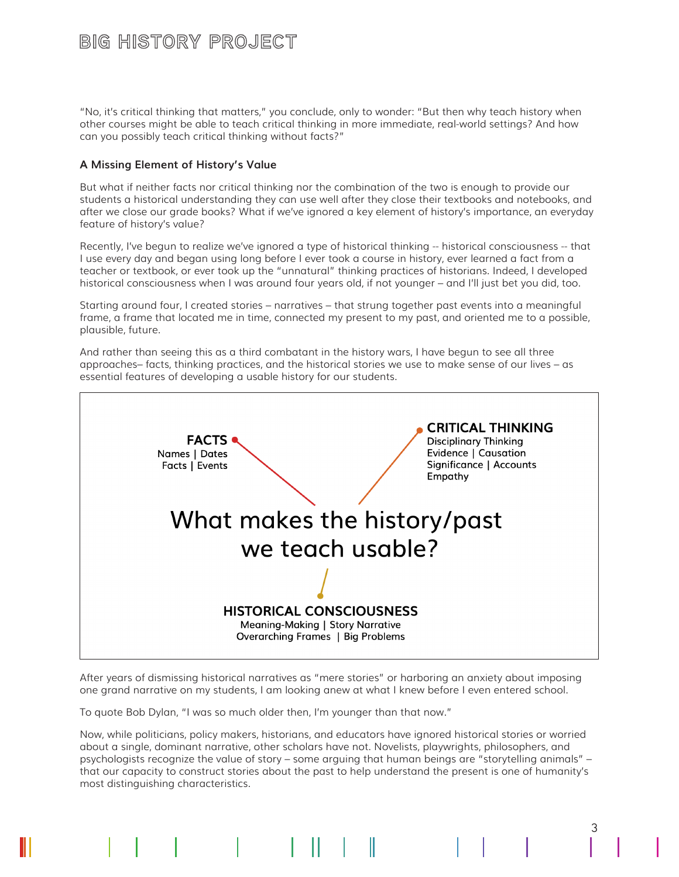### BIG HISTORY PROJECT

"No, it's critical thinking that matters," you conclude, only to wonder: "But then why teach history when other courses might be able to teach critical thinking in more immediate, real-world settings? And how can you possibly teach critical thinking without facts?"

#### **A Missing Element of History's Value**

But what if neither facts nor critical thinking nor the combination of the two is enough to provide our students a historical understanding they can use well after they close their textbooks and notebooks, and after we close our grade books? What if we've ignored a key element of history's importance, an everyday feature of history's value?

Recently, I've begun to realize we've ignored a type of historical thinking -- historical consciousness -- that I use every day and began using long before I ever took a course in history, ever learned a fact from a teacher or textbook, or ever took up the "unnatural" thinking practices of historians. Indeed, I developed historical consciousness when I was around four years old, if not younger – and I'll just bet you did, too.

Starting around four, I created stories – narratives – that strung together past events into a meaningful frame, a frame that located me in time, connected my present to my past, and oriented me to a possible, plausible, future.

And rather than seeing this as a third combatant in the history wars, I have begun to see all three approaches– facts, thinking practices, and the historical stories we use to make sense of our lives – as essential features of developing a usable history for our students.



After years of dismissing historical narratives as "mere stories" or harboring an anxiety about imposing one grand narrative on my students, I am looking anew at what I knew before I even entered school.

To quote Bob Dylan, "I was so much older then, I'm younger than that now."

Now, while politicians, policy makers, historians, and educators have ignored historical stories or worried about a single, dominant narrative, other scholars have not. Novelists, playwrights, philosophers, and psychologists recognize the value of story – some arguing that human beings are "storytelling animals" – that our capacity to construct stories about the past to help understand the present is one of humanity's most distinguishing characteristics.

 $\mathsf{L} \mathsf{I}$ 

3